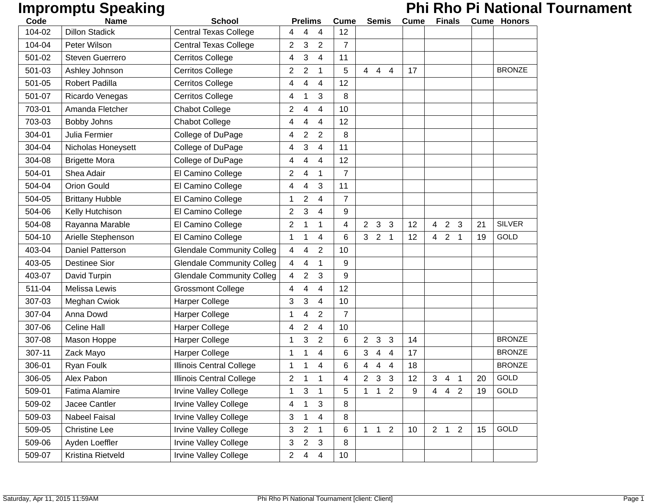## **Impromptu Speaking**<br> **Phi Rho Pi National Tournament**

| Code   | <b>Name</b>            | <b>School</b>                    |                | <b>Prelims</b>          |                | <b>Cume</b>     |                | <b>Semis</b> |                         | <b>Cume</b> |                | <b>Finals</b>  |                |    | <b>Cume Honors</b> |
|--------|------------------------|----------------------------------|----------------|-------------------------|----------------|-----------------|----------------|--------------|-------------------------|-------------|----------------|----------------|----------------|----|--------------------|
| 104-02 | <b>Dillon Stadick</b>  | <b>Central Texas College</b>     | 4              | 4                       | 4              | 12              |                |              |                         |             |                |                |                |    |                    |
| 104-04 | Peter Wilson           | <b>Central Texas College</b>     | 2              | 3                       | 2              | $\overline{7}$  |                |              |                         |             |                |                |                |    |                    |
| 501-02 | <b>Steven Guerrero</b> | Cerritos College                 | 4              | 3                       | 4              | 11              |                |              |                         |             |                |                |                |    |                    |
| 501-03 | Ashley Johnson         | Cerritos College                 | 2              | 2                       | 1              | 5               | 44             |              | 4                       | 17          |                |                |                |    | <b>BRONZE</b>      |
| 501-05 | Robert Padilla         | <b>Cerritos College</b>          | 4              | 4                       | 4              | 12              |                |              |                         |             |                |                |                |    |                    |
| 501-07 | Ricardo Venegas        | <b>Cerritos College</b>          | 4              | 1                       | 3              | 8               |                |              |                         |             |                |                |                |    |                    |
| 703-01 | Amanda Fletcher        | <b>Chabot College</b>            | $\overline{2}$ | 4                       | 4              | 10              |                |              |                         |             |                |                |                |    |                    |
| 703-03 | Bobby Johns            | <b>Chabot College</b>            | 4              | 4                       | 4              | 12              |                |              |                         |             |                |                |                |    |                    |
| 304-01 | Julia Fermier          | College of DuPage                | 4              | $\overline{\mathbf{c}}$ | $\overline{2}$ | 8               |                |              |                         |             |                |                |                |    |                    |
| 304-04 | Nicholas Honeysett     | College of DuPage                | 4              | 3                       | 4              | 11              |                |              |                         |             |                |                |                |    |                    |
| 304-08 | <b>Brigette Mora</b>   | College of DuPage                | 4              | 4                       | 4              | 12              |                |              |                         |             |                |                |                |    |                    |
| 504-01 | Shea Adair             | El Camino College                | 2              | 4                       | 1              | $\overline{7}$  |                |              |                         |             |                |                |                |    |                    |
| 504-04 | <b>Orion Gould</b>     | El Camino College                | 4              | 4                       | 3              | 11              |                |              |                         |             |                |                |                |    |                    |
| 504-05 | <b>Brittany Hubble</b> | El Camino College                | 1              | 2                       | 4              | 7               |                |              |                         |             |                |                |                |    |                    |
| 504-06 | Kelly Hutchison        | El Camino College                | $\overline{2}$ | 3                       | 4              | 9               |                |              |                         |             |                |                |                |    |                    |
| 504-08 | Rayanna Marable        | El Camino College                | $\overline{2}$ | 1                       | 1              | 4               | $\overline{2}$ | 3            | 3                       | 12          | $\overline{4}$ | $\overline{2}$ | 3              | 21 | <b>SILVER</b>      |
| 504-10 | Arielle Stephenson     | El Camino College                | 1              | 1                       | 4              | 6               | 3 <sub>2</sub> |              | $\overline{\mathbf{1}}$ | 12          | 4              | $\overline{2}$ | 1              | 19 | GOLD               |
| 403-04 | Daniel Patterson       | <b>Glendale Community Colleg</b> | 4              | 4                       | $\overline{2}$ | 10              |                |              |                         |             |                |                |                |    |                    |
| 403-05 | <b>Destinee Sior</b>   | <b>Glendale Community Colleg</b> | 4              | 4                       | 1              | 9               |                |              |                         |             |                |                |                |    |                    |
| 403-07 | David Turpin           | <b>Glendale Community Colleg</b> | 4              | 2                       | 3              | 9               |                |              |                         |             |                |                |                |    |                    |
| 511-04 | Melissa Lewis          | <b>Grossmont College</b>         | 4              | 4                       | 4              | 12              |                |              |                         |             |                |                |                |    |                    |
| 307-03 | Meghan Cwiok           | Harper College                   | 3              | 3                       | 4              | 10              |                |              |                         |             |                |                |                |    |                    |
| 307-04 | Anna Dowd              | Harper College                   | 1              | 4                       | 2              | 7               |                |              |                         |             |                |                |                |    |                    |
| 307-06 | <b>Celine Hall</b>     | Harper College                   | 4              | 2                       | 4              | 10              |                |              |                         |             |                |                |                |    |                    |
| 307-08 | Mason Hoppe            | <b>Harper College</b>            | 1              | 3                       | $\overline{2}$ | 6               | $\overline{2}$ | 3            | 3                       | 14          |                |                |                |    | <b>BRONZE</b>      |
| 307-11 | Zack Mayo              | <b>Harper College</b>            | 1              |                         | 4              | 6               | 3              | 4            | 4                       | 17          |                |                |                |    | <b>BRONZE</b>      |
| 306-01 | Ryan Foulk             | Illinois Central College         | 1              | 1                       | 4              | 6               | 4              | 4            | 4                       | 18          |                |                |                |    | <b>BRONZE</b>      |
| 306-05 | Alex Pabon             | Illinois Central College         | 2              | 1                       | 1              | 4               | $\overline{2}$ | 3            | 3                       | 12          | 3              | 4              | 1              | 20 | GOLD               |
| 509-01 | Fatima Alamire         | <b>Irvine Valley College</b>     | 1              | 3                       | 1              | 5               | 1              | $\mathbf 1$  | 2                       | 9           | 4              | $\overline{4}$ | $\overline{2}$ | 19 | GOLD               |
| 509-02 | Jacee Cantler          | <b>Irvine Valley College</b>     | 4              | 1                       | 3              | 8               |                |              |                         |             |                |                |                |    |                    |
| 509-03 | Nabeel Faisal          | <b>Irvine Valley College</b>     | 3              | 1                       | 4              | 8               |                |              |                         |             |                |                |                |    |                    |
| 509-05 | <b>Christine Lee</b>   | <b>Irvine Valley College</b>     | 3              | 2                       | 1              | 6               | 1              | $\mathbf{1}$ | $\overline{2}$          | 10          |                | $2 \quad 1$    | 2              | 15 | GOLD               |
| 509-06 | Ayden Loeffler         | <b>Irvine Valley College</b>     | 3              | $\overline{2}$          | 3              | 8               |                |              |                         |             |                |                |                |    |                    |
| 509-07 | Kristina Rietveld      | <b>Irvine Valley College</b>     | $\overline{2}$ | 4                       | 4              | 10 <sup>°</sup> |                |              |                         |             |                |                |                |    |                    |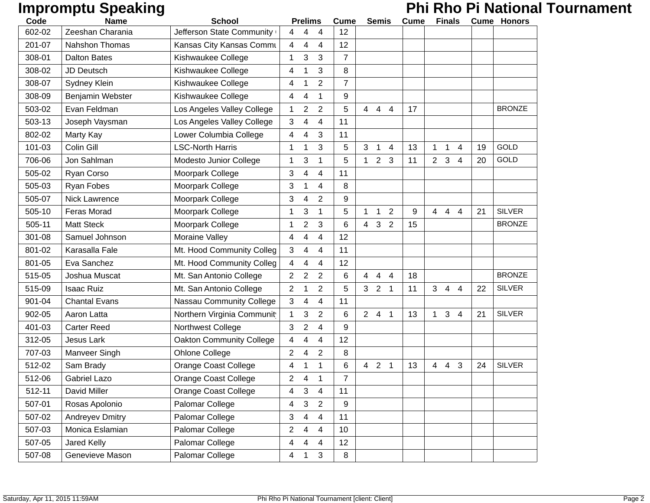# **Impromptu Speaking**<br> **Phi Rho Pi National Tournament**

| Code   | <b>Name</b>            | <b>School</b>                   |                | <b>Prelims</b> |                | <b>Cume</b>    |                | <b>Semis</b>                     | <b>Cume</b> |                 | <b>Finals</b>       |    | <b>Cume Honors</b> |
|--------|------------------------|---------------------------------|----------------|----------------|----------------|----------------|----------------|----------------------------------|-------------|-----------------|---------------------|----|--------------------|
| 602-02 | Zeeshan Charania       | Jefferson State Community       | 4              | 4              | 4              | 12             |                |                                  |             |                 |                     |    |                    |
| 201-07 | <b>Nahshon Thomas</b>  | Kansas City Kansas Commu        | 4              | 4              | $\overline{4}$ | 12             |                |                                  |             |                 |                     |    |                    |
| 308-01 | <b>Dalton Bates</b>    | Kishwaukee College              | 1              | 3              | 3              | $\overline{7}$ |                |                                  |             |                 |                     |    |                    |
| 308-02 | <b>JD Deutsch</b>      | Kishwaukee College              | 4              |                | 3              | 8              |                |                                  |             |                 |                     |    |                    |
| 308-07 | Sydney Klein           | Kishwaukee College              | 4              | 1              | $\overline{2}$ | $\overline{7}$ |                |                                  |             |                 |                     |    |                    |
| 308-09 | Benjamin Webster       | Kishwaukee College              | 4              | 4              | 1              | 9              |                |                                  |             |                 |                     |    |                    |
| 503-02 | Evan Feldman           | Los Angeles Valley College      | 1              | 2              | $\overline{2}$ | 5              | $\overline{4}$ | $\overline{4}$<br>$\overline{4}$ | 17          |                 |                     |    | <b>BRONZE</b>      |
| 503-13 | Joseph Vaysman         | Los Angeles Valley College      | 3              | 4              | 4              | 11             |                |                                  |             |                 |                     |    |                    |
| 802-02 | Marty Kay              | Lower Columbia College          | 4              | 4              | 3              | 11             |                |                                  |             |                 |                     |    |                    |
| 101-03 | Colin Gill             | <b>LSC-North Harris</b>         | 1              | 1              | 3              | 5              | 3              | $\mathbf 1$<br>$\overline{4}$    | 13          | 1               | $\mathbf 1$<br>4    | 19 | <b>GOLD</b>        |
| 706-06 | Jon Sahlman            | Modesto Junior College          | 1              | 3              | 1              | 5              | 1              | 2 <sub>3</sub>                   | 11          | $2^{\circ}$     | $\mathbf{3}$<br>4   | 20 | GOLD               |
| 505-02 | Ryan Corso             | Moorpark College                | 3              | 4              | 4              | 11             |                |                                  |             |                 |                     |    |                    |
| 505-03 | Ryan Fobes             | Moorpark College                | 3              | 1              | 4              | 8              |                |                                  |             |                 |                     |    |                    |
| 505-07 | <b>Nick Lawrence</b>   | Moorpark College                | 3              | 4              | $\overline{2}$ | 9              |                |                                  |             |                 |                     |    |                    |
| 505-10 | Feras Morad            | Moorpark College                | 1              | 3              | $\mathbf 1$    | 5              | 1              | 2<br>$\overline{1}$              | 9           | $4\quad 4$      | 4                   | 21 | <b>SILVER</b>      |
| 505-11 | <b>Matt Steck</b>      | Moorpark College                | 1              | $\overline{2}$ | 3              | 6              | $\overline{4}$ | 3<br>2                           | 15          |                 |                     |    | <b>BRONZE</b>      |
| 301-08 | Samuel Johnson         | Moraine Valley                  | 4              | 4              | $\overline{4}$ | 12             |                |                                  |             |                 |                     |    |                    |
| 801-02 | Karasalla Fale         | Mt. Hood Community Colleg       | 3              | 4              | $\overline{4}$ | 11             |                |                                  |             |                 |                     |    |                    |
| 801-05 | Eva Sanchez            | Mt. Hood Community Colleg       | 4              | 4              | 4              | 12             |                |                                  |             |                 |                     |    |                    |
| 515-05 | Joshua Muscat          | Mt. San Antonio College         | $\overline{2}$ | $\overline{2}$ | $\overline{2}$ | 6              | $\overline{4}$ | $\overline{4}$<br>$\overline{4}$ | 18          |                 |                     |    | <b>BRONZE</b>      |
| 515-09 | <b>Isaac Ruiz</b>      | Mt. San Antonio College         | 2              |                | $\overline{2}$ | 5              | 3 <sup>1</sup> | 2 <sub>1</sub>                   | 11          | 3 <sup>1</sup>  | $\overline{4}$<br>4 | 22 | <b>SILVER</b>      |
| 901-04 | <b>Chantal Evans</b>   | <b>Nassau Community College</b> | 3              | 4              | 4              | 11             |                |                                  |             |                 |                     |    |                    |
| 902-05 | Aaron Latta            | Northern Virginia Communit      | 1              | 3              | 2              | 6              | 2 <sup>1</sup> | $\overline{4}$<br>$\mathbf{1}$   | 13          | 1.              | 3<br>4              | 21 | <b>SILVER</b>      |
| 401-03 | <b>Carter Reed</b>     | Northwest College               | 3              | $\overline{2}$ | $\overline{4}$ | 9              |                |                                  |             |                 |                     |    |                    |
| 312-05 | Jesus Lark             | <b>Oakton Community College</b> | 4              | 4              | 4              | 12             |                |                                  |             |                 |                     |    |                    |
| 707-03 | Manveer Singh          | Ohlone College                  | 2              | 4              | $\overline{2}$ | 8              |                |                                  |             |                 |                     |    |                    |
| 512-02 | Sam Brady              | Orange Coast College            | 4              | 1              | 1              | 6              | 4              | 2 <sub>1</sub>                   | 13          | $4\overline{ }$ | $\overline{4}$<br>3 | 24 | <b>SILVER</b>      |
| 512-06 | <b>Gabriel Lazo</b>    | <b>Orange Coast College</b>     | 2              | 4              | $\mathbf 1$    | $\overline{7}$ |                |                                  |             |                 |                     |    |                    |
| 512-11 | David Miller           | Orange Coast College            | 4              | 3              | 4              | 11             |                |                                  |             |                 |                     |    |                    |
| 507-01 | Rosas Apolonio         | Palomar College                 | 4              | $\mathbf{3}$   | $\overline{2}$ | 9              |                |                                  |             |                 |                     |    |                    |
| 507-02 | <b>Andreyev Dmitry</b> | Palomar College                 | 3              | 4              | 4              | 11             |                |                                  |             |                 |                     |    |                    |
| 507-03 | Monica Eslamian        | Palomar College                 | 2              | 4              | 4              | 10             |                |                                  |             |                 |                     |    |                    |
| 507-05 | <b>Jared Kelly</b>     | Palomar College                 | 4              | 4              | 4              | 12             |                |                                  |             |                 |                     |    |                    |
| 507-08 | Genevieve Mason        | Palomar College                 | 4              | 1              | 3              | 8              |                |                                  |             |                 |                     |    |                    |